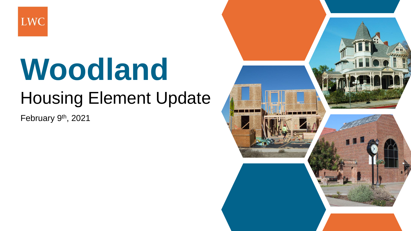

# **Woodland** Housing Element Update

February 9<sup>th</sup>, 2021

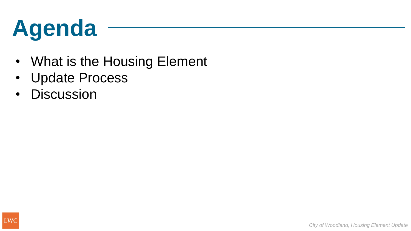## **Agenda**

- What is the Housing Element
- Update Process
- Discussion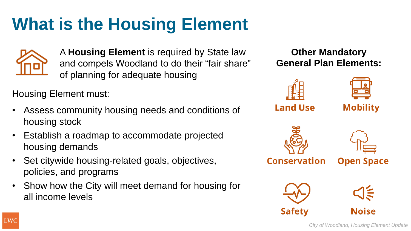

A **Housing Element** is required by State law and compels Woodland to do their "fair share" of planning for adequate housing

Housing Element must:

- Assess community housing needs and conditions of housing stock
- Establish a roadmap to accommodate projected housing demands
- Set citywide housing-related goals, objectives, policies, and programs
- Show how the City will meet demand for housing for all income levels

**Other Mandatory General Plan Elements:**



*City of Woodland, Housing Element Update*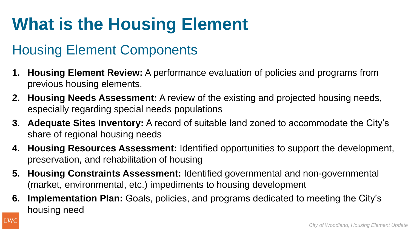#### Housing Element Components

- **1. Housing Element Review:** A performance evaluation of policies and programs from previous housing elements.
- **2. Housing Needs Assessment:** A review of the existing and projected housing needs, especially regarding special needs populations
- **3. Adequate Sites Inventory:** A record of suitable land zoned to accommodate the City's share of regional housing needs
- **4. Housing Resources Assessment:** Identified opportunities to support the development, preservation, and rehabilitation of housing
- **5. Housing Constraints Assessment:** Identified governmental and non-governmental (market, environmental, etc.) impediments to housing development
- **6. Implementation Plan:** Goals, policies, and programs dedicated to meeting the City's housing need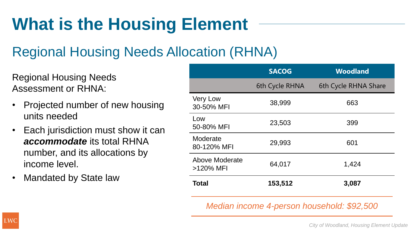#### Regional Housing Needs Allocation (RHNA)

Regional Housing Needs Assessment or RHNA:

- Projected number of new housing units needed
- Each jurisdiction must show it can *accommodate* its total RHNA number, and its allocations by income level.
- Mandated by State law

|                               | <b>SACOG</b>   | <b>Woodland</b>      |
|-------------------------------|----------------|----------------------|
|                               | 6th Cycle RHNA | 6th Cycle RHNA Share |
| <b>Very Low</b><br>30-50% MFI | 38,999         | 663                  |
| Low<br>50-80% MFI             | 23,503         | 399                  |
| Moderate<br>80-120% MFI       | 29,993         | 601                  |
| Above Moderate<br>>120% MFI   | 64,017         | 1,424                |
| <b>Total</b>                  | 153,512        | 3,087                |

*Median income 4-person household: \$92,500*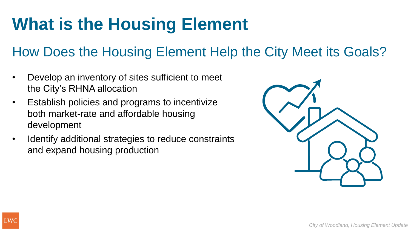#### How Does the Housing Element Help the City Meet its Goals?

- Develop an inventory of sites sufficient to meet the City's RHNA allocation
- Establish policies and programs to incentivize both market-rate and affordable housing development
- Identify additional strategies to reduce constraints and expand housing production

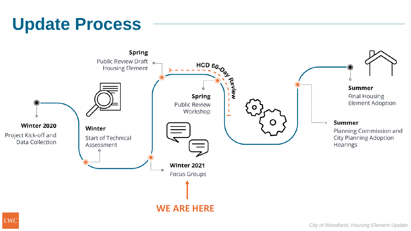#### **Update Process**

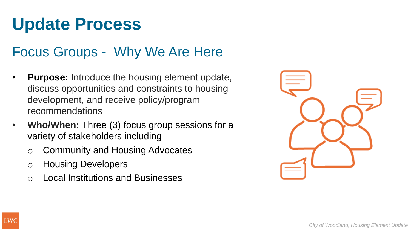### **Update Process**

#### Focus Groups - Why We Are Here

- **Purpose:** Introduce the housing element update, discuss opportunities and constraints to housing development, and receive policy/program recommendations
- **Who/When:** Three (3) focus group sessions for a variety of stakeholders including
	- o Community and Housing Advocates
	- o Housing Developers
	- **Local Institutions and Businesses**

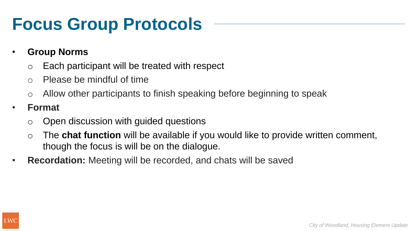#### **Focus Group Protocols**

- **Group Norms**
	- o Each participant will be treated with respect
	- $\circ$  Please be mindful of time
	- o Allow other participants to finish speaking before beginning to speak
- **Format**
	- o Open discussion with guided questions
	- o The **chat function** will be available if you would like to provide written comment, though the focus is will be on the dialogue.
- **Recordation:** Meeting will be recorded, and chats will be saved